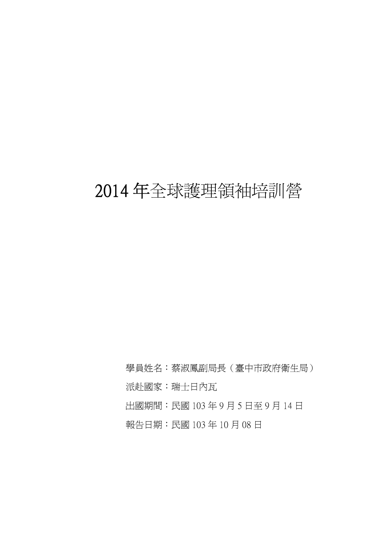# 2014 年全球護理領袖培訓營

學員姓名:蔡淑鳳副局長(臺中市政府衛生局) 派赴國家:瑞士日內瓦 出國期間:民國 103 年 9 月 5 日至 9 月 14 日 報告日期:民國 103 年 10 月 08 日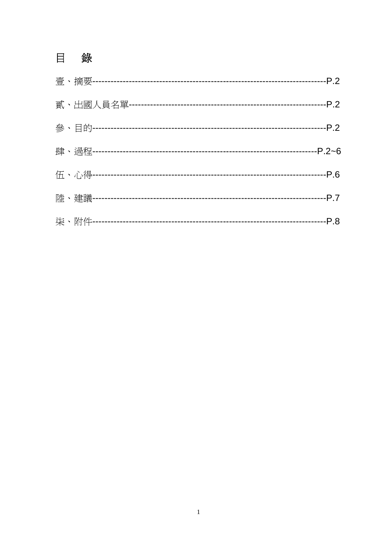# 目錄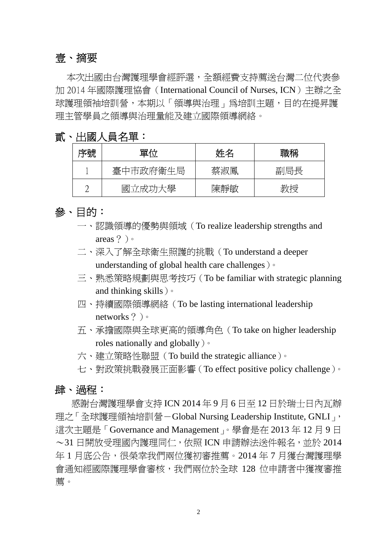#### 壹、摘要

本次出國由台灣護理學會經評選,全額經費支持薦送台灣二位代表參 加 2014 年國際護理協會(International Council of Nurses, ICN)主辦之全 球護理領袖培訓營,本期以「領導與治理」為培訓主題,目的在提昇護 理主管學員之領導與治理量能及建立國際領導網絡。

#### 貳、 出國人員名單:

| 序號 | 單位       | 姓名  | 職稱  |
|----|----------|-----|-----|
|    | 臺中市政府衛生局 | 蔡淑鳳 | 副局長 |
|    | 國立成功大學   | 陳靜敏 | 教授  |

#### 參、 目的:

- 一、認識領導的優勢與領域(To realize leadership strengths and areas?)。
- 二、深入了解全球衛生照護的挑戰(To understand a deeper understanding of global health care challenges)。
- 三、熟悉策略規劃與思考技巧(To be familiar with strategic planning and thinking skills)。
- 四、持續國際領導網絡(To be lasting international leadership networks?)。
- 五、承擔國際與全球更高的領導角色(To take on higher leadership roles nationally and globally)。
- 六、建立策略性聯盟(To build the strategic alliance)。
- 七、對政策挑戰發展正面影響(To effect positive policy challenge)。

#### 肆、渦程:

感謝台灣護理學會支持 ICN 2014 年 9 月 6 日至 12 日於瑞士日內瓦辦 理之「全球護理領袖培訓營-Global Nursing Leadership Institute, GNLI」, 這次主題是「Governance and Management」。學會是在 2013年12月9日 ~31 日開放受理國內護理同仁,依照 ICN 申請辦法送件報名,並於 2014 年 1 月底公告,很榮幸我們兩位獲初審推薦。2014 年 7 月獲台灣護理學 會通知經國際護理學會審核,我們兩位於全球 128 位申請者中獲複審推 薦。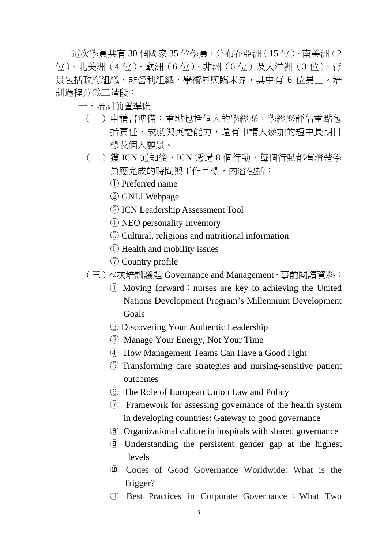這次學員共有 30 個國家 35 位學員,分布在亞洲 (15 位)、南美洲 (2 位)、北美洲(4位)、歐洲(6位)、非洲(6位)及大洋洲(3位),背 景包括政府組織、非營利組織、學術界與臨床界,其中有 6 位男士。培 訓過程分為三階段:

- 一、培訓前置準備
	- (一)申請書準備:重點包括個人的學經歷,學經歷評估重點包 括責任、成就與英語能力,還有申請人參加的短中長期目 標及個人願景。
	- (二)獲ICN 通知後,ICN 透過8個行動,每個行動都有清楚學 員應完成的時間與工作目標,內容包括:
		- ① Preferred name
		- ② GNLI Webpage
		- ③ ICN Leadership Assessment Tool
		- ④ NEO personality Inventory
		- ⑤ Cultural, religions and nutritional information
		- ⑥ Health and mobility issues
		- ⑦ Country profile
	- (三)本次培訓議題 Governance and Management,事前閱讀資料:
		- $\circled{1}$  Moving forward: nurses are key to achieving the United Nations Development Program's Millennium Development Goals
		- ② Discovering Your Authentic Leadership
		- ③ Manage Your Energy, Not Your Time
		- ④ How Management Teams Can Have a Good Fight
		- ⑤ Transforming care strategies and nursing-sensitive patient outcomes
		- ⑥ The Role of European Union Law and Policy
		- ⑦ Framework for assessing governance of the health system in developing countries: Gateway to good governance
		- ⑧ Organizational culture in hospitals with shared governance
		- ⑨ Understanding the persistent gender gap at the highest levels
		- ⑩ Codes of Good Governance Worldwide: What is the Trigger?
		- ⑪ Best Practices in Corporate Governance:What Two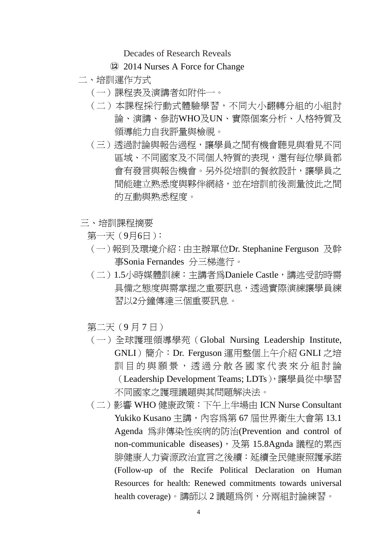Decades of Research Reveals

- ⑫ 2014 Nurses A Force for Change
- 二、培訓運作方式
	- (一)課程表及演講者如附件一。
	- (二)本課程採行動式體驗學習,不同大小翻轉分組的小組討 論、演講、參訪WHO及UN、實際個案分析、人格特質及 領導能力自我評量與檢視。
	- (三)透過討論與報告過程,讓學員之間有機會聽見與看見不同 區域、不同國家及不同個人特質的表現,還有每位學員都 會有發言與報告機會。另外從培訓的餐敘設計,讓學員之 間能建立熟悉度與夥伴網絡,並在培訓前後測量彼此之間 的互動與熟悉程度。
- 三、培訓課程摘要
	- 第一天(9月6日):
	- (一)報到及環境介紹:由主辦單位Dr. Stephanine Ferguson 及幹 事Sonia Fernandes 分三梯進行。
	- (二)1.5小時媒體訓練:主講者為Daniele Castle,講述受訪時需 具備之態度與需掌握之重要訊息,透過實際演練讓學員練 習以2分鐘傳達三個重要訊息。
	- 第二天(9月7日)
	- (一)全球護理領導學苑(Global Nursing Leadership Institute, GNLI)簡介:Dr. Ferguson 運用整個上午介紹 GNLI 之培 訓目的與願景,透過分散各國家代表來分組討論 (Leadership Development Teams; LDTs),讓學員從中學習 不同國家之護理議題與其問題解決法。
	- (二)影響 WHO 健康政策:下午上半場由 ICN Nurse Consultant Yukiko Kusano 主講,內容為第 67 屆世界衛生大會第 13.1 Agenda 為非傳染性疾病的防治(Prevention and control of non-communicable diseases), 及第 15.8Agnda 議程的累西 腓健康人力資源政治宣言之後續:延續全民健康照護承諾 (Follow-up of the Recife Political Declaration on Human Resources for health: Renewed commitments towards universal health coverage)。講師以 2 議題為例,分兩組討論練習。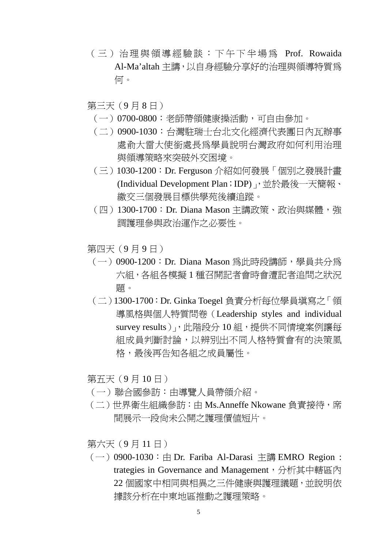- (三)治理與領導經驗談:下午下半場為 Prof. Rowaida Al-Ma'altah 主講,以自身經驗分享好的治理與領導特質為 何。
- 第三天(9月8日)
	- (一)0700-0800:老師帶領健康操活動,可自由參加。
	- (二)0900-1030:台灣駐瑞士台北文化經濟代表團日內瓦辦事 處俞大雷大使銜處長為學員說明台灣政府如何利用治理 與領導策略來突破外交困境。
	- (三)1030-1200:Dr. Ferguson 介紹如何發展「個別之發展計畫 (Individual Development Plan; IDP), 並於最後一天簡報、 繳交三個發展目標供學苑後續追蹤。
	- (四) 1300-1700: Dr. Diana Mason 主講政策、政治與媒體,強 調護理參與政治運作之必要性。

第四天(9月9日)

- (一) 0900-1200: Dr. Diana Mason 為此時段講師, 學員共分為 六組,各組各模擬 1 種召開記者會時會遭記者追問之狀況 題。
- (二)1300-1700:Dr. Ginka Toegel 負責分析每位學員填寫之「領 導風格與個人特質問卷 (Leadership styles and individual survey results), 此階段分 10 組, 提供不同情境案例讓每 組成員判斷討論,以辨別出不同人格特質會有的決策風 格,最後再告知各組之成員屬性。

第五天(9 月 10 日)

- (一)聯合國參訪:由導覽人員帶領介紹。
- (二)世界衛生組織參訪:由 Ms.Anneffe Nkowane 負責接待,席 間展示一段尚未公開之護理價值短片。

第六天(9 月 11 日)

 $(-)$  0900-1030: 由 Dr. Fariba Al-Darasi 主講 EMRO Region : trategies in Governance and Management,分析其中轄區內 22 個國家中相同與相異之三件健康與護理議題,並說明依 據該分析在中東地區推動之護理策略。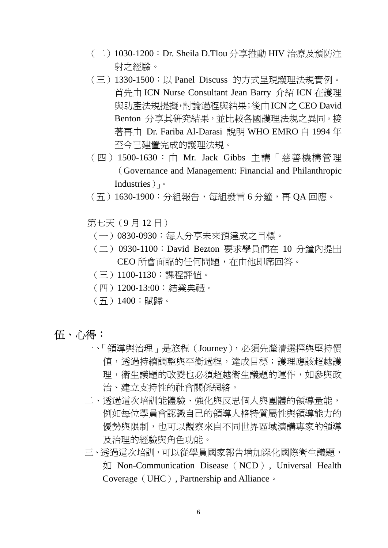- (二)1030-1200:Dr. Sheila D.Tlou 分享推動 HIV 治療及預防注 射之經驗。
- (三)1330-1500:以 Panel Discuss 的方式呈現護理法規實例。 首先由 ICN Nurse Consultant Jean Barry 介紹 ICN 在護理 與助產法規提擬,討論過程與結果;後由ICN之 CEO David Benton 分享其研究結果,並比較各國護理法規之異同。接 著再由 Dr. Fariba Al-Darasi 說明 WHO EMRO 自 1994 年 至今已建置完成的護理法規。
- (四)1500-1630:由 Mr. Jack Gibbs 主講「慈善機構管理 (Governance and Management: Financial and Philanthropic Industries)」。
- (五)1630-1900:分組報告,每組發言 6 分鐘,再 QA 回應。
- 第七天(9 月 12 日)
	- (一)0830-0930:每人分享未來預達成之目標。
	- (二) 0930-1100:David Bezton 要求學員們在 10 分鐘內提出 CEO 所會面臨的任何問題,在由他即席回答。
	- (三)1100-1130:課程評值。
	- (四)1200-13:00:結業典禮。
	- (五)1400:賦歸。
- 伍、 心得:
	- 一、「領導與治理」是旅程(Journey),必須先釐清選擇與堅持價 值,透過持續調整與平衡過程,達成目標;護理應該超越護 理,衛生議題的改變也必須超越衛生議題的運作,如參與政
		- 治、建立支持性的社會關係網絡。
	- 二、透過這次培訓能體驗、強化與反思個人與團體的領導量能, 例如每位學員會認識自己的領導人格特質屬性與領導能力的 優勢與限制,也可以觀察來自不同世界區域演講專家的領導 及治理的經驗與角色功能。
	- 三、透過這次培訓,可以從學員國家報告增加深化國際衛生議題, 如 Non-Communication Disease (NCD), Universal Health Coverage (UHC), Partnership and Alliance 。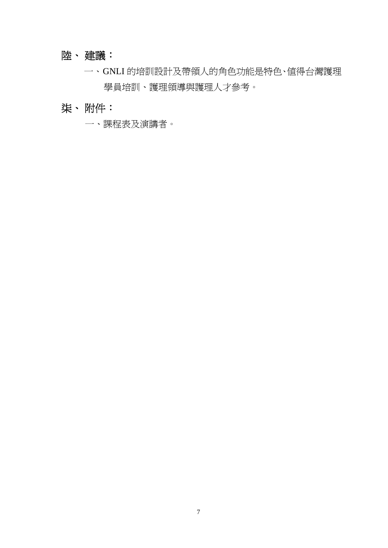# 陸、 建議:

一、GNLI 的培訓設計及帶領人的角色功能是特色、值得台灣護理 學員培訓、護理領導與護理人才參考。

# 柒、 附件:

一、課程表及演講者。